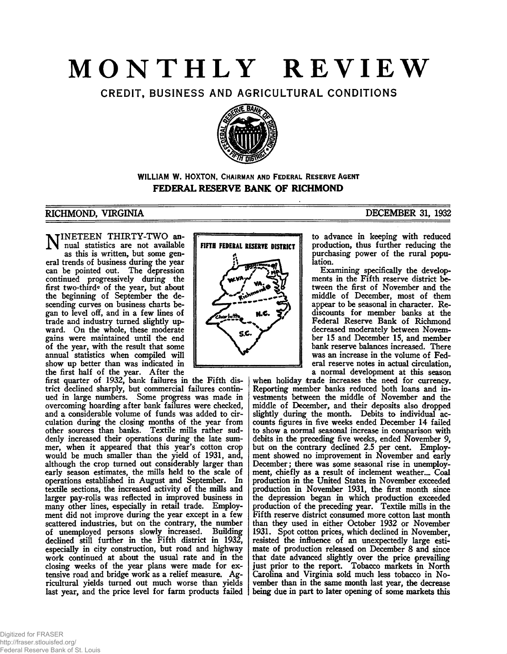# **MONTHLY REVIEW**

CREDIT, BUSINESS AND AGRICULTURAL CONDITIONS



**WILLIAM W. HOXTON, CHAIRMAN AND FEDERAL RESERVE AGENT FEDERAL RESERVE BANK OF RICHMOND**

### RICHMOND, VIRGINIA DECEMBER 31, 1932

NINETEEN THIRTY-TWO an-<br>mual statistics are not available nual statistics are not available as this is written, but some general trends of business during the year can be pointed out. The depression continued progressively during the first two-third® of the year, but about the beginning of September the descending curves on business charts began to level off, and in a few lines of trade and industry turned slightly upward. On the whole, these moderate gains were maintained until the end of the year, with the result that some annual statistics when compiled will show up better than was indicated in the first half of the year. After the

first quarter of 1932, bank failures in the Fifth district declined sharply, but commercial failures continued in large numbers. Some progress was made in overcoming hoarding after bank failures were checked, and a considerable volume of funds was added to circulation during the closing months of the year from other sources than banks. Textile mills rather suddenly increased their operations during the late summer, when it appeared that this year's cotton crop would be much smaller than the yield of 1931, and, although the crop turned out considerably larger than early season estimates, the mills held to the scale of operations established in August and September. In textile sections, the increased activity of the mills and larger pay-rolls was reflected in improved business in many other lines, especially in retail trade. Employment did not improve during the year except in a few scattered industries, but on the contrary, the number of unemployed persons slowly increased. Building declined still further in the Fifth district in 1932, especially in city construction, but road and highway work continued at about the usual rate and in the closing weeks of the year plans were made for extensive road and bridge work as a relief measure. Agricultural yields turned out much worse than yields last year, and the price level for farm products failed



to advance in keeping with reduced production, thus further reducing the purchasing power of the rural population.

Examining specifically the developments in the Fifth reserve district between the first of November and the middle of December, most of them appear to be seasonal in character. Rediscounts for member banks at the Federal Reserve Bank of Richmond decreased moderately between November 15 and December 15, and member bank reserve balances increased. There was an increase in the volume of Federal reserve notes in actual circulation, a normal development at this season

when holiday trade increases the need for currency. Reporting member banks reduced both loans and investments between the middle of November and the middle of December, and their deposits also dropped slightly during the month. Debits to individual accounts figures in five weeks ended December 14 failed to show a normal seasonal increase in comparison with debits in the preceding five weeks, ended November 9, but on the contrary declined 2.5 per cent. Employment showed no improvement in November and early December; there was some seasonal rise in unemployment, chiefly as a result of inclement weather.... Coal production in the United States in November exceeded production in November 1931, the first month since the depression began in which production exceeded production of the preceding year. Textile mills in the Fifth reserve district consumed more cotton last month than they used in either October 1932 or November 1931. Spot cotton prices, which declined in November, resisted the influence of an unexpectedly large estimate of production released on December 8 and since that date advanced slightly over the price prevailing just prior to the report. Tobacco markets in North Carolina and Virginia sold much less tobacco in November than in the same month last year, the decrease being due in part to later opening of some markets this

#### Digitized for FRASER http://fraser.stlouisfed.org/ Federal Reserve Bank of St. Louis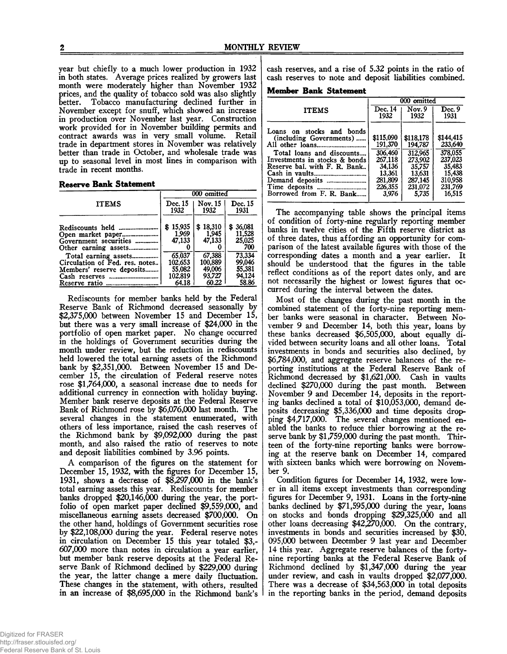year but chiefly to a much lower production in 1932 in both states. Average prices realized by growers last month were moderately higher than November 1932 prices, and the quality of tobacco sold was also slightly better. Tobacco manufacturing declined further in November except for snuff, which showed an increase in production over November last year. Construction work provided for in November building permits and contract awards was in very small volume. Retail trade in department stores in November was relatively better than trade in October, and wholesale trade was up to seasonal level in most lines in comparison with trade in recent months.

#### **Reserve Bank Statement**

|                                                                                     | 000 omitted                      |                             |                                      |
|-------------------------------------------------------------------------------------|----------------------------------|-----------------------------|--------------------------------------|
| <b>ITEMS</b>                                                                        | Dec. 15<br>1932                  | Nov. 15<br>1932             | Dec. 15<br>1931                      |
| Government securities                                                               | \$15,935<br>1.969<br>47,133<br>o | \$18,310<br>1,945<br>47,133 | \$36,081<br>11,528<br>25,025<br>700  |
| Total earning assets<br>Circulation of Fed. res. notes<br>Members' reserve deposits | 65,037<br>102.653<br>55,082      | 67,388<br>100,889<br>49,006 | 73,334<br>99,046<br>55.381<br>94.124 |
| Cash reserves<br><br>Reserve ratio<br>-----------------------                       | 102.819<br>64.18                 | 93,727<br>60.22             | 58.86                                |

Rediscounts for member banks held by the Federal Reserve Bank of Richmond decreased seasonally by \$2,375,000 between November 15 and December 15, but there was a very small increase of \$24,000 in the portfolio of open market paper. No change occurred in the holdings of Government securities during the month under review, but the reduction in rediscounts held lowered the total earning assets of the Richmond bank by \$2,351,000. Between November 15 and December 15, the circulation of Federal reserve notes rose \$1,764,000, a seasonal increase due to needs for additional currency in connection with holiday buying. Member bank reserve deposits at the Federal Reserve Bank of Richmond rose by \$6,076,000 last month. The several changes in the statement enumerated, with others of less importance, raised the cash reserves of the Richmond bank by \$9,092,000 during the past month, and also raised the ratio of reserves to note and deposit liabilities combined by 3.96 points.

A comparison of the figures on the statement for December 15, 1932, with the figures for December 15, 1931, shows a decrease of \$8,297,000 in the bank's total earning assets this year. Rediscounts for member banks dropped \$20,146,000 during the year, the portfolio of open market paper declined \$9,559,000, and miscellaneous earning assets decreased \$700,000. On the other hand, holdings of Government securities rose by \$22,108,000 during the year. Federal reserve notes in circulation on December 15 this year totaled \$3,- 607,000 more than notes in circulation a year earlier, but member bank reserve deposits at the Federal Reserve Bank of Richmond declined by \$229,000 during the year, the latter change a mere daily fluctuation. These changes in the statement, with others, resulted in an increase of \$8,695,000 in the Richmond bank's

cash reserves, and a rise of 5.32 points in the ratio of cash reserves to note and deposit liabilities combined.

**Member Bank Statement**

|                                                                                                                                                                                | 000 omitted                                                                                   |                                                                                               |                                                                                                |
|--------------------------------------------------------------------------------------------------------------------------------------------------------------------------------|-----------------------------------------------------------------------------------------------|-----------------------------------------------------------------------------------------------|------------------------------------------------------------------------------------------------|
| <b>ITEMS</b>                                                                                                                                                                   | Dec. 14<br>1932                                                                               | Nov.9<br>1932                                                                                 | Dec.9<br>1931                                                                                  |
| Loans on stocks and bonds<br>(including Governments)<br>Total loans and discounts<br>Investments in stocks & bonds<br>Reserve bal. with F. R. Bank<br>Borrowed from F. R. Bank | \$115,090<br>191,370<br>306,460<br>267.118<br>34,136<br>13.361<br>281.809<br>226.355<br>3.976 | \$118,178<br>194,787<br>312,965<br>273.902<br>35.757<br>13.631<br>287.145<br>231,072<br>5.735 | \$144,415<br>233,640<br>378,055<br>237,023<br>35,483<br>15,438<br>310.958<br>231,769<br>16,515 |

The accompanying table shows the principal items of condition of forty-nine regularly reporting member banks in twelve cities of the Fifth reserve district as of three dates, thus affording an opportunity for comparison of the latest available figures with those of the corresponding dates a month and a year earlier. It should be understood that the figures in the table reflect conditions as of the report dates only, and are not necessarily the highest or lowest figures that occurred during the interval between the dates.

Most of the changes during the past month in the combined statement of the forty-nine reporting member banks were seasonal in character. Between November 9 and December 14, both this year, loans by these banks decreased \$6,505,000, about equally divided between security loans and all other loans. Total investments in bonds and securities also declined, by \$6,784,000, and aggregate reserve balances of the reporting institutions at the Federal Reserve Bank of Richmond decreased by \$1,621,000. Cash in vaults declined \$270,000 during the past month. Between November 9 and December 14, deposits in the reporting banks declined a total of \$10,053,000, demand deposits decreasing \$5,336,000 and time deposits dropping \$4,717,000. The several changes mentioned enabled the banks to reduce thier borrowing at the reserve bank by \$1,759,000 during the past month. Thirteen of the forty-nine reporting banks were borrowing at the reserve bank on December 14, compared with sixteen banks which were borrowing on November 9.

Condition figures for December 14, 1932, were lower in all items except investments than corresponding figures for December 9, 1931. Loans in the forty-nine banks declined by \$71,595,000 during the year, loans on stocks and bonds dropping \$29,325,000 and all other loans decreasing \$42,270,000. On the contrary, investments in bonds and securities increased by \$30, 095,000 between December 9 last year and December 14 this year. Aggregate reserve balances of the fortynine reporting banks at the Federal Reserve Bank of Richmond declined by \$1,347,000 during the year under review, and cash in vaults dropped \$2,077,000. There was a decrease of \$34,563,000 in total deposits in the reporting banks in the period, demand deposits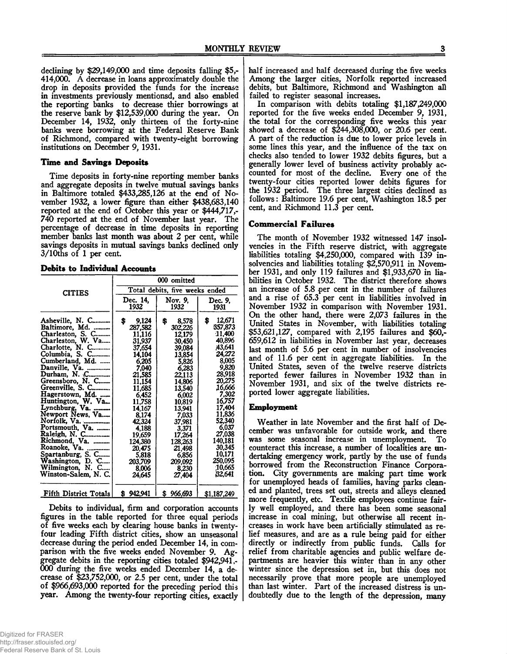declining by \$29,149,000 and time deposits falling \$5,- 414,000. A decrease in loans approximately double the drop in deposits provided the funds for the increase in investments previously mentionsd, and also enabled the reporting banks to decrease thier borrowings at the reserve bank by \$12,539,000 during the year. On December 14, 1932, only thirteen of the forty-nine banks were borrowing at the Federal Reserve Bank of Richmond, compared with twenty-eight borrowing institutions on December 9, 1931.

#### **Time and Savings Deposits**

Time deposits in forty-nine reporting member banks and aggregate deposits in twelve mutual savings banks in Baltimore totaled \$433,285,126 at the end of November 1932, a lower figure than either \$438,683,140 reported at the end of October this year or \$444,717,- 740 reported at the end of November last year. The percentage of decrease in time deposits in reporting member banks last month was about 2 per cent, while savings deposits in mutual savings banks declined only 3/10ths of 1 per cent.

#### **Debits to Individual Accounts**

|                                                                                                                                                                                                                                                                                                                                                                                                                                                                     | 000 omitted                                                                                                                                                                                                                                   |                                                                                                                                                                                                                                               |                                                                                                                                                                                                                                                   |  |
|---------------------------------------------------------------------------------------------------------------------------------------------------------------------------------------------------------------------------------------------------------------------------------------------------------------------------------------------------------------------------------------------------------------------------------------------------------------------|-----------------------------------------------------------------------------------------------------------------------------------------------------------------------------------------------------------------------------------------------|-----------------------------------------------------------------------------------------------------------------------------------------------------------------------------------------------------------------------------------------------|---------------------------------------------------------------------------------------------------------------------------------------------------------------------------------------------------------------------------------------------------|--|
| <b>CITIES</b>                                                                                                                                                                                                                                                                                                                                                                                                                                                       | Total debits, five weeks ended                                                                                                                                                                                                                |                                                                                                                                                                                                                                               |                                                                                                                                                                                                                                                   |  |
|                                                                                                                                                                                                                                                                                                                                                                                                                                                                     | Dec. 14.<br>1932                                                                                                                                                                                                                              | Nov. 9,<br>1932                                                                                                                                                                                                                               | Dec. 9.<br>1931                                                                                                                                                                                                                                   |  |
| Asheville, N. C<br>Baltimore, Md.<br>Charleston, S. C<br>Charleston, W. Va<br>Charlotte, N. C<br>Columbia, S. C<br>Cumberland, Md.<br>Danville, Va.<br>Durham, N. C<br>Greensboro, N. C<br>Greenville, S. C<br>Hagerstown, Md.<br>Huntington, W. Va<br>Lynchburg, Va.<br>Newport News, Va<br>Norfolk, Va.<br>Portsmouth, Va.<br>Raleigh, N. C<br>Richmond, Va.<br>Roanoke, Va.<br>Spartanburg, S. C<br>Washington, D. C<br>Wilmington, N. C<br>Winston-Salem, N. C. | 9,124<br>\$<br>287,582<br>11,116<br>31,937<br>37,654<br>14,104<br>6,205<br>7.040<br>21,585<br>11,154<br>11,685<br>6,452<br>11,758<br>14,167<br>8,174<br>42,324<br>4,188<br>19,659<br>124,380<br>20,475<br>5,818<br>203,709<br>8,006<br>24,645 | 8.578<br>\$<br>302,226<br>12,179<br>30.450<br>39,084<br>13,854<br>5,826<br>6.283<br>22,113<br>14,806<br>13,540<br>6.002<br>10,819<br>13,941<br>7,033<br>37,981<br>3.371<br>17.264<br>128,263<br>21,498<br>6,856<br>209,092<br>8.230<br>27,404 | 12,671<br>\$<br>357,873<br>11,400<br>40,896<br>A3.641<br>24.272<br>8,005<br>9,820<br>28,918<br>20.275<br>16,666<br>7,302<br>16,757<br>17,404<br>11,836<br>52,340<br>6,037<br>27,038<br>140,181<br>30,345<br>10,171<br>250,095<br>10.665<br>32,641 |  |
| Fifth District Totals                                                                                                                                                                                                                                                                                                                                                                                                                                               | \$942,941                                                                                                                                                                                                                                     | \$966,693                                                                                                                                                                                                                                     | \$1,187,249                                                                                                                                                                                                                                       |  |

Debits to individual, firm and corporation accounts figures in the table reported for three equal periods of five weeks each by clearing house banks in twentyfour leading Fifth district cities, show an unseasonal decrease during the period ended December 14, in comparison with the five weeks ended November 9. Aggregate debits in the reporting cities totaled \$942,941,- 000 during the five weeks ended December 14, a decrease of \$23,752,000, or 2.5 per cent, under the total of \$966,693,000 reported for the preceding period this year. Among the twenty-four reporting cities, exactly half increased and half decreased during the five weeks Among the larger cities, Norfolk reported increased debits, but Baltimore, Richmond and Washington all failed to register seasonal increases.

In comparison with debits totaling \$1,187,249,000 reported for the five weeks ended December 9, 1931, the total for the corresponding five weeks this year showed a decrease of \$244,308,000, or 20.6 per cent. A part of the reduction is due to lower price levels in some lines this year, and the influence of the tax on checks also tended to lower 1932 debits figures, but a generally lower level of business activity probably accounted for most of the decline. Every one of the twenty-four cities reported lower debits figures for the 1932 period. The three largest cities declined as follows: Baltimore 19.6 per cent, Washington 18.5 per cent, and Richmond 11.3 per cent.

#### **Commercial Failures**

The month of November 1932 witnessed 147 insolvencies in the Fifth reserve district, with aggregate liabilities totaling \$4,250,000, compared with 139 insolvencies and liabilities totaling \$2,570,911 in November 1931, and only 119 failures and \$1,933,670 in liabilities in October 1932. The district therefore shows an increase of 5.8 per cent in the number of failures and a rise of 65.3 per cent in liabilities involved in November 1932 in comparison with November 1931. On the other hand, there were 2,073 failures in the United States in November, with liabilities totaling \$53,621,127, compared with 2,195 failures and \$60,- 659,612 in liabilities in November last year, decreases last month of 5.6 per cent in number of insolvencies and of 11.6 per cent in aggregate liabilities. In the United States, seven of the twelve reserve districts reported fewer failures in November 1932 than in November 1931, and six of the twelve districts reported lower aggregate liabilities.

#### **Employment**

Weather in late November and the first half of December was unfavorable for outside work, and there was some seasonal increase in unemployment. To counteract this increase, a number of localities are undertaking emergency work, partly by the use of funds borrowed from the Reconstruction Finance Corporation. City governments are making part time work for unemployed heads of families, having parks cleaned and planted, trees set out, streets and alleys cleaned more frequently, etc. Textile employees continue fairly well employed, and there has been some seasonal increase in coal mining, but otherwise all recent increases in work have been artificially stimulated as relief measures, and are as a rule being paid for either directly or indirectly from public funds. Calls for relief from charitable agencies and public welfare departments are heavier this winter than in any other winter since the depression set in, but this does not necessarily prove that more people are unemployed than last winter. Part of the increased distress is undoubtedly due to the length of the depression, many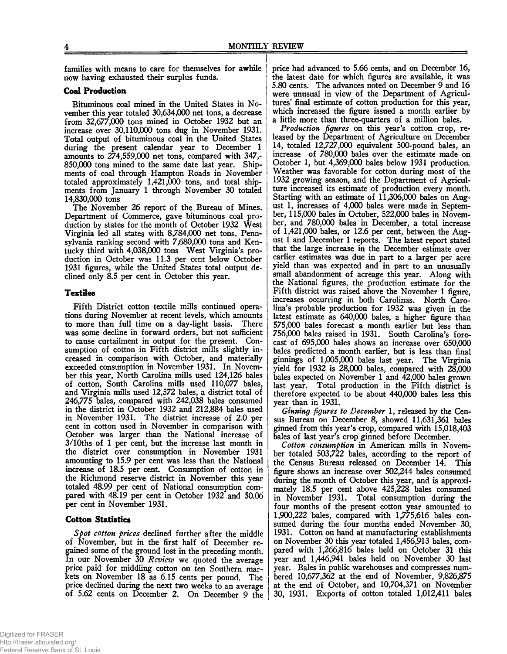families with means to care for themselves for awhile now having exhausted their surplus funds.

#### **Coal Production**

Bituminous coal mined in the United States in November this year totaled 30,634,000 net tons, a decrease from 32,677,000 tons mined in October 1932 but an j increase over 30,110,000 tons dug in November 1931. Total output of bituminous coal in the United States j during the present calendar year to December 1 amounts to  $274,559,000$  net tons, compared with  $347,$ -850,000 tons mined to the same date last year. Shipments of coal through Hampton Roads in November totaled approximately 1,421,000 tons, and total shipments from January 1 through November 30 totaled 14.830.000 tons

The November 26 report of the Bureau of Mines. Department of Commerce, gave bituminous coal production by states for the month of October 1932 West Virginia led all states with 8,784,000 net tons, Pennsylvania ranking second with 7,680,000 tons and Kentucky third with 4,038,000 tons West Virginia's production in October was 11.3 per cent below October 1931 figures, while the United States total output declined only 8.5 per cent in October this year.

#### **Textiles**

Fifth District cotton textile mills continued operations during November at recent levels, which amounts to more than full time on a day-light basis. There was some decline in forward orders, but not sufficient to cause curtailment in output for the present. Consumption of cotton in Fifth district mills slightly increased in comparison with October, and materially exceeded consumption in November 1931. In November this year, North Carolina mills used 124,126 bales of cotton, South Carolina mills used 110,077 bales, and Virginia mills used 12,572 bales, a district total of 246,775 bales, compared with 242,038 bales consumed in the district in October 1932 and 212,884 bales used in November 1931. The district increase of 2.0 per cent in cotton used in November in comparison with October was larger than the National increase of 3/10ths of 1 per cent, but the increase last month in the district over consumption in November 1931 amounting to 15.9 per cent was less than the National increase of 18.5 per cent. Consumption of cotton in the Richmond reserve district in November this year totaled 48.99 per cent of National consumption compared with 48.19 per cent in October 1932 and 50.06 per cent in November 1931.

#### **Cotton Statistics**

*Spot cotton prices* declined further after the middle of November, but in the first half of December regained some of the ground lost in the preceding month. In our November 30 *Review* we quoted the average price paid for middling cotton on ten Southern markets on November 18 as 6.15 cents per pound. The price declined during the next two weeks to an average of 5.62 cents on December 2. On December 9 the

price had advanced to 5.66 cents, and on December 16, the latest date for which figures are available, it was 5.80 cents. The advances noted on December 9 and 16 were unusual in view of the Department of Agricultures' final estimate of cotton production for this year, which increased the figure issued a month earlier by a little more than three-quarters of a million bales.

*Production figures* on this year's cotton crop, released by the Department of Agriculture on December 14, totaled 12,727,000 equivalent 500-pound bales, an increase of 780,000 bales over the estimate made on October 1, but 4,369,000 bales below 1931 production Weather was favorable for cotton during most of the 1932 growing season, and the Department of Agriculture increased its estimate of production every month. Starting with an estimate of 11,306,000 bales on August 1, increases of 4,000 bales were made in September, 115,000 bales in October, 522,000 bales in November, and 780,000 bales in December, a total increase of 1,421,000 bales, or 12.6 per cent, between the August 1 and December 1 reports. The latest report stated that the large increase in the December estimate over earlier estimates was due in part to a larger per acre yield than was expected and in part to an unusually small abandonment of acreage this year. Along with the National figures, the production estimate for the Fifth district was raised above the November 1 figure, increases occurring in both Carolinas. North Carolina's probable production for 1932 was given in the latest estimate as 640,000 bales, a higher figure than 575.000 bales forecast a month earlier but less than 756.000 bales raised in 1931. South Carolina's forecast of 695,000 bales shows an increase over 650,000 bales predicted a month earlier, but is less than final ginnings of 1,005,000 bales last year. The Virginia yield for 1932 is 28,000 bales, compared with 28,000 bales expected on November 1 and 42,000 bales grown last year. Total production in the Fifth district is therefore expected to be about 440,000 bales less this year than in 1931.

*Ginning figures to December* 1, released by the Census Bureau on December 8, showed 11,631,361 bales ginned from this year's crop, compared with 15,018,403 bales of last year's crop ginned before December.

*Cotton consumption* in American mills in November totaled 503,722 bales, according to the report of the Census Bureau released on December 14. This figure shows an increase over 502,244 bales consumed during the month of October this year, and is approximately 18.5 per cent above 425,228 bales consumed in November 1931. Total consumption during the four months of the present cotton year amounted to 1,900,222 bales, compared with 1,775,616 bales consumed during the four months ended November 30, 1931. Cotton on hand at manufacturing establishments on November 30 this year totaled 1,456,913 bales, compared with 1,266,816 bales held on October 31 this year and 1,446,941 bales held on November 30 last year. Bales in public warehouses and compresses numbered 10,677,362 at the end of November, 9,826,875 at the end of October, and 10,704,371 on November 30, 1931. Exports of cotton totaled 1,012,411 bales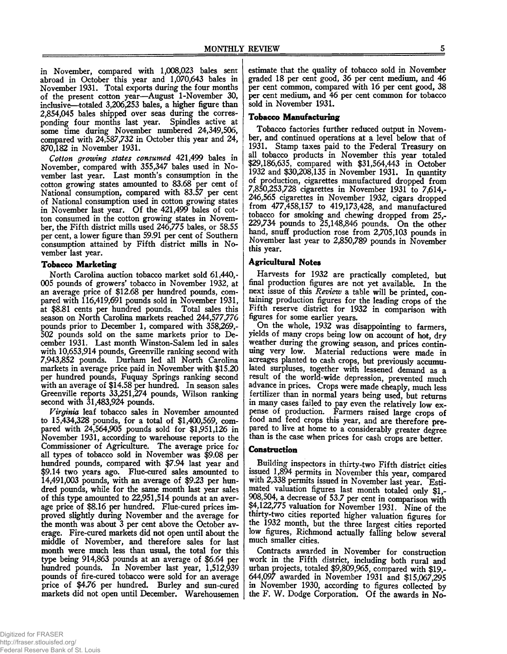in November, compared with 1,008,023 bales sent abroad in October this year and 1,070,643 bales in November 1931. Total exports during the four months of the present cotton year—August 1-November 30, inclusive—totaled 3,206,253 bales, a higher figure than 2,854,045 bales shipped over seas during the corresponding four months last year. Spindles active at some time during November numbered 24,349,506, compared with 24,587,732 in October this year and 24, 870,182 in November 1931.

*Cotton growing states consumed* 421,499 bales in November, compared with 355,347 bales used in November last year. Last month's consumption in the cotton growing states amounted to 83.68 per cent of National consumption, compared with 83.57 per cent of National consumption used in cotton growing states in November last year. Of the 421,499 bales of cotton consumed in the cotton growing states in November, the Fifth district mills used 246,775 bales, or 58.55 per cent, a lower figure than 59.91 per cent of Southern consumption attained by Fifth district mills in November last year.

#### **Tobacco Marketing**

North Carolina auction tobacco market sold 61,440,- 005 pounds of growers' tobacco in November 1932, at an average price of \$12.68 per hundred pounds, compared with 116,419,691 pounds sold in November 1931, at \$8.81 cents per hundred pounds. Total sales this season on North Carolina markets reached 244,577,776 pounds prior to December 1, compared with 358,269,- 502 pounds sold on the same markets prior to December 1931. Last month Winston-Salem led in sales with 10,653,914 pounds, Greenville ranking second with 7,943,852 pounds. Durham led all North Carolina markets in average price paid in November with \$15.20 per hundred pounds, Fuquay Springs ranking second with an average of \$14.58 per hundred. In season sales Greenville reports 33,251,274 pounds, Wilson ranking second with 31,483,924 pounds.

*Virginia* leaf tobacco sales in November amounted to 15,434,328 pounds, for a total of \$1,400,569, compared with 24,564,905 pounds sold for \$1,951,126 in November 1931, according to warehouse reports to the Commissioner of Agriculture. The average price for all types of tobacco sold in November was \$9.08 per hundred pounds, compared with \$7.94 last year and \$9.14 two years ago. Flue-cured sales amounted to 14,491,003 pounds, with an average of \$9.23 per hundred pounds, while for the same month last year sales of this type amounted to 22,951,514 pounds at an average price of \$8.16 per hundred. Flue-cured prices improved slightly during November and the average for the month was about 3 per cent above the October average. Fire-cured markets did not open until about the middle of November, and therefore sales for last month were much less than usual, the total for this type being 914,863 pounds at an average of \$6.64 per hundred pounds. In November last year, 1,512,939 pounds of fire-cured tobacco were sold for an average price of \$4.76 per hundred. Burley and sun-cured markets did not open until December. Warehousemen

estimate that the quality of tobacco sold in November graded 18 per cent good, 36 per cent medium, and 46 per cent common, compared with 16 per cent good, 38 per cent medium, and 46 per cent common for tobacco sold in November 1931.

#### **Tobacco Manufacturing**

Tobacco factories further reduced output in November, and continued operations at a level below that of 1931. Stamp taxes paid to the Federal Treasury on all tobacco products in November this year totaled \$29,186,635, compared with \$31,564,443 in October 1932 and \$30,208,135 in November 1931. In quantity of production, cigarettes manufactured dropped from 7,850,253,728 cigarettes in November 1931 to 7,614,- 246,565 cigarettes in November 1932, cigars dropped from 477,458,157 to 419,173,428, and manufactured tobacco for smoking and chewing dropped from 25,- 229,734 pounds to 25,148,846 pounds. On the other hand, snuff production rose from 2,705,103 pounds in November last year to 2,850,789 pounds in November this year.

#### **Agricultural Notes**

Harvests for 1932 are practically completed, but final production figures are not yet available. In the next issue of this *Review* a table will be printed, containing production figures for the leading crops of the Fifth reserve district for 1932 in comparison with figures for some earlier years.

On the whole, 1932 was disappointing to farmers, yields of many crops being low on account of hot, dry weather during the growing season, and prices continuing very low. Material reductions were made in acreages planted to cash crops, but previously accumulated surpluses, together with lessened demand as a result of the world-wide depression, prevented much advance in prices. Crops were made cheaply, much less fertilizer than in normal years being used, but returns in many cases failed to pay even the relatively low expense of production. Farmers raised large crops of food and feed crops this year, and are therefore prepared to live at home to a considerably greater degree than is the case when prices for cash crops are better.

#### **Construction**

Building inspectors in thirty-two Fifth district cities issued 1,894 permits in November this year, compared with 2,338 permits issued in November last year. Estimated valuation figures last month totaled only \$1,- 908,504, a decrease of 53.7 per cent in comparison with \$4,122,775 valuation for November 1931. Nine of the thirty-two cities reported higher valuation figures for the 1932 month, but the three largest cities reported low figures, Richmond actually falling below several much smaller cities.

Contracts awarded in November for construction work in the Fifth district, including both rural and urban projects, totaled \$9,809,965, compared with \$19,- 644,097 awarded in November 1931 and \$15,067,295 in November 1930, according to figures collected by the F. W. Dodge Corporation. Of the awards in No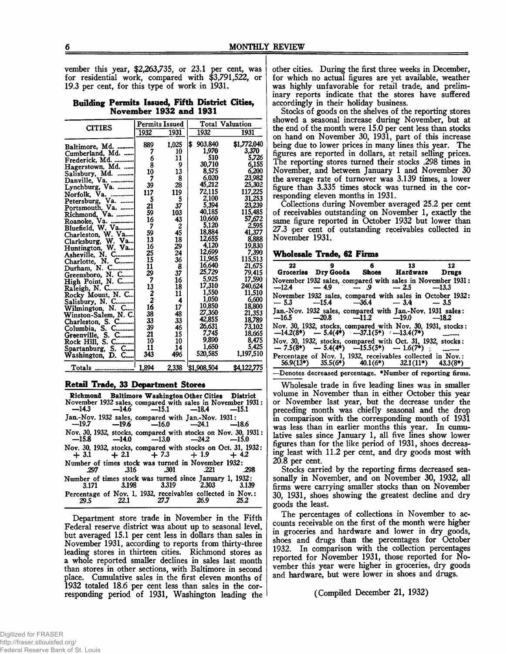vember this year, \$2,263,735, or 23.1 per cent, was for residential work, compared with \$3,791,522, or 19.3 per cent, for this type of work in 1931.

# **Building Permits Issued, Fifth District Cities, November 1932 and 1931**

| <b>CITIES</b>                       | <b>Permits Issued</b> |       | <b>Total Valuation</b> |                    |  |
|-------------------------------------|-----------------------|-------|------------------------|--------------------|--|
|                                     | 1932                  | 1931  | 1932                   | 1931               |  |
| Baltimore, Md.                      | 889                   | 1,025 | \$903,840              | \$1,772,040        |  |
| Cumberland. Md.                     | 7                     | 10    | 1,970                  | 3,370              |  |
| Frederick, Md.                      | 6                     | 11    | 510                    | 5,726              |  |
| Hagerstown, Md.                     | š                     | 9     | 30,710                 | 6,155              |  |
| Salisbury, Md.                      | 10                    | 13    | 8,575                  | 6,200              |  |
| Danville, Va.                       | 7                     | 8     | 6.020                  | 23.982             |  |
| Lynchburg, Va.                      | 39                    | 28    | 45,212                 | 25.302             |  |
| Norfolk, Va.                        | 117                   | 119   | 72,115                 | 117,225            |  |
| Petersburg, Va.                     | 5                     | 5     | 2,100                  | 31,253             |  |
|                                     | 21                    | 37    | 5,394                  | 23,239             |  |
|                                     | 59                    | 103   | 40,185                 | 115,485            |  |
| Roanoke, Va.                        | 16                    | 43    | 10,660                 | 57,672             |  |
| Bluefield, W. Va                    | 7                     | 2     | 5,120                  | 2.595              |  |
|                                     | 59                    | 45    | 18,884                 | 41,377             |  |
| Charleston, W. Va                   | 13                    | 18    | 12,655                 | 8,888              |  |
| Clarksburg, W. Va                   | 16                    | 29    | 4.120                  | 19,830             |  |
| Huntington, W. Va                   | 25                    | 24    | 12,699                 | 7,390              |  |
| Asheville, N. C                     | 15                    | 36    | 11,965                 | 115,513            |  |
| Charlotte, N. C                     | 11                    | 8     | 16,640                 | 21,675             |  |
| Durham, N. C                        | 29                    | 37    | 25,729                 | 79.415             |  |
| Greensboro, N. C                    | 7                     | 16    | 5,925                  | 17,590             |  |
| High Point, N. C                    |                       | 18    | 17,310                 | 240,624            |  |
| Raleigh, N. C                       | 13<br>2<br>16<br>16   | 11    | 1,550                  | 11.510             |  |
| Rocky Mount, N. C                   |                       | 4     | 1.050                  | 6.600              |  |
| Salisbury, N. C                     |                       | 17    | 10,850                 | 18,800             |  |
| Wilmington, N. C                    | 38                    | 48    | 27,360                 | 21.353             |  |
| Winston-Salem, N. C.                | 33                    | 33    | 42,855                 | 18,789             |  |
|                                     | 39                    | 46    | 26.631                 | 73,102             |  |
|                                     | 21                    | 15    | 7.745                  | 18.665             |  |
| Greenville, S. C<br>Rock Hill, S. C | 10                    | 10    | 9,890                  | 8.475              |  |
|                                     | 11                    | 14    | 1.650                  | 5.425              |  |
| Spartanburg, S. C                   | 343                   | 496   | 520,585                | 1,197,510          |  |
| Washington, D. C                    |                       |       |                        |                    |  |
|                                     | 1.894                 | 2,338 | \$1,908,504            | <b>\$4,122,775</b> |  |

#### **Retail Trade, 33 Department Stores\_\_\_\_\_\_\_\_\_\_\_\_\_**

|       |                      | Richmond Baltimore Washington Other Cities District<br>November 1932 sales, compared with sales in November 1931:<br>-14.3 -14.6 -15.1 -18.4 -15.1 |      |
|-------|----------------------|----------------------------------------------------------------------------------------------------------------------------------------------------|------|
|       |                      | Jan.-Nov. 1932 sales, compared with Jan.-Nov. 1931:<br>$-19.7$ $-19.6$ $-16.0$ $-24.1$ $-18.6$                                                     |      |
|       |                      | Nov. 30, 1932, stocks, compared with stocks on Nov. 30, 1931:<br>$-15.8$ $-14.0$ $-13.0$ $-24.2$ $-15.0$                                           |      |
|       |                      | Nov. 30, 1932, stocks, compared with stocks on Oct. 31, 1932:<br>$+3.1 + 2.1 + 7.3 + 1.9 + 4.2$                                                    |      |
| .297  | $.316$ $.301$ $.221$ | Number of times stock was turned in November 1932:                                                                                                 | .298 |
| 3.171 |                      | Number of times stock was turned since January 1, 1932:<br>3.198 3.319 2.303 3.139                                                                 |      |
| 29.5  | 27.7                 | Percentage of Nov. 1, 1932, receivables collected in Nov.:<br>26.9                                                                                 |      |

Department store trade in November in the Fifth Federal reserve district was about up to seasonal level, but averaged 15.1 per cent less in dollars than sales in November 1931, according to reports from thirty-three leading stores in thirteen cities. Richmond stores as a whole reported smaller declines in sales last month than stores in other sections, with Baltimore in second place. Cumulative sales in the first eleven months of 1932 totaled 18.6 per cent less than sales in the corresponding period of 1931, Washington leading the other cities. During the first three weeks in December, for which no actual figures are yet available, weather was highly unfavorable for retail trade, and preliminary reports indicate that the stores have suffered accordingly in their holiday business.

Stocks of goods on the shelves of the reporting stores showed a seasonal increase during November, but at the end of the month were 15.0 per cent less than stocks on hand on November 30, 1931, part of this increase being due to lower prices in many lines this year. The figures are reported in dollars, at retail selling prices. The reporting stores turned their stocks .298 times in November, and between January 1 and November 30 the average rate of turnover was 3.139 times, a lower figure than 3.335 times stock was turned in the corresponding eleven months in 1931.

Collections during November averaged 25.2 per cent of receivables outstanding on November 1, exactly the same figure reported in October 1932 but lower than 27.3 per cent of outstanding receivables collected in November 1931.

#### **Wholesale Trade, 62 Firms**

| 22 |  | 9 6 13 12<br>Groceries Dry Goods Shoes Hardware Drugs                                                                  |  |
|----|--|------------------------------------------------------------------------------------------------------------------------|--|
|    |  | November 1932 sales, compared with sales in November 1931:<br>$-12.4$ $-4.9$ $-9$ $-2.5$ $-13.3$                       |  |
|    |  | November 1932 sales, compared with sales in October 1932:<br>$-5.3$ $-15.4$ $-36.4$ $-3.4$ $-3.5$                      |  |
|    |  | Jan.-Nov. 1932 sales, compared with Jan.-Nov. 1931 sales:<br>$-16.5$ $-20.8$ $-11.2$ $-19.0$ $-18.2$                   |  |
|    |  | Nov. 30, 1932, stocks, compared with Nov. 30, 1931, stocks:<br>--14.2(8*) --5.4(4*) --37.1(5*) '--13.4(7*)             |  |
|    |  | Nov. 30, 1932, stocks, compared with Oct. 31, 1932, stocks:<br>$-7.5(8^*)$ $-5.4(4^*)$ $-15.5(5^*)$ $-1.6(7^*)$        |  |
|    |  | Percentage of Nov. 1, 1932, receivables collected in Nov.:<br>$56.9(13*)$ $35.5(6*)$ $40.1(6*)$ $32.1(11*)$ $43.3(8*)$ |  |

—Denotes decreased percentage. ♦Number of reporting firms.

Wholesale trade in five leading lines was in smaller volume in November than in either October this year or November last year, but the decrease under the preceding month was chiefly seasonal and the drop in comparison with the corresponding month of 1931 was less than in earlier months this year. In cumulative sales since January 1, all five lines show lower figures than for the like period of 1931, shoes decreasing least with 11.2 per cent, and dry goods most with 20.8 per cent.

Stocks carried by the reporting firms decreased seasonally in November, and on November 30, 1932, all firms were carrying smaller stocks than on November 30, 1931, shoes showing the greatest decline and dry goods the least.

The percentages of collections in November to accounts receivable on the first of the month were higher in groceries and hardware and lower in dry goods, shoes and drugs than the percentages for October 1932. In comparison with the collection percentages reported for November 1931, those reported for November this year were higher in groceries, dry goods and hardware, but were lower in shoes and drugs.

(Compiled December 21, 1932)